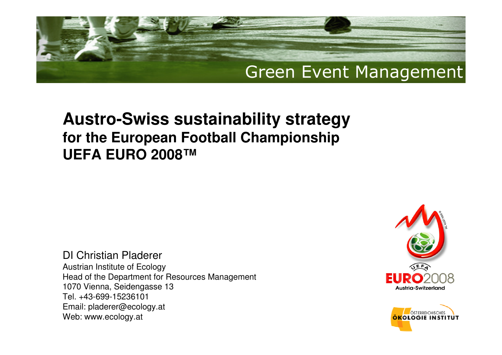#### **Austro-Swiss sustainability strategyfor the European Football Championship UEFA EURO 2008™**

DI Christian Pladerer Austrian Institute of Ecology Head of the Department for Resources Management1070 Vienna, Seidengasse 13 Tel. +43-699-15236101 Email: pladerer@ecology.atWeb: www.ecology.at



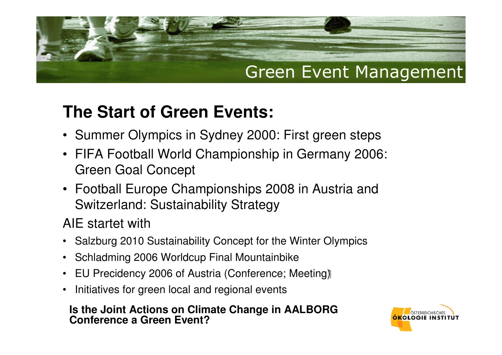### **The Start of Green Events:**

- Summer Olympics in Sydney 2000: First green steps
- FIFA Football World Championship in Germany 2006: Green Goal Concept
- Football Europe Championships 2008 in Austria and Switzerland: Sustainability Strategy

AIE startet with

- Salzburg 2010 Sustainability Concept for the Winter Olympics
- Schladming 2006 Worldcup Final Mountainbike
- EU Precidency 2006 of Austria (Conference; Meeting)
- Initiatives for green local and regional events

#### **Is the Joint Actions on Climate Change in AALBORG Conference a Green Event?**

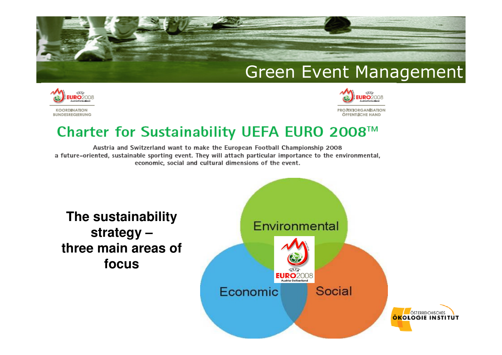



#### Charter for Sustainability UEFA EURO 2008™

Austria and Switzerland want to make the European Football Championship 2008 a future-oriented, sustainable sporting event. They will attach particular importance to the environmental, economic, social and cultural dimensions of the event.

**The sustainability strategy – three main areas of focus**

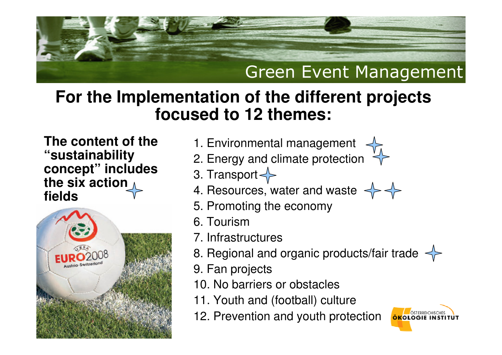

#### **For the Implementation of the different projects focused to 12 themes:**

**The content of the "sustainability concept" includes the six action fields**



- 1. Environmental management
- 2. Energy and climate protection
- 3. Transport
- 4. Resources, water and waste
- 5. Promoting the economy
- 6. Tourism
- 7. Infrastructures
- 8. Regional and organic products/fair trade
- 9. Fan projects
- 10. No barriers or obstacles
- 11. Youth and (football) culture
- 12. Prevention and youth protection

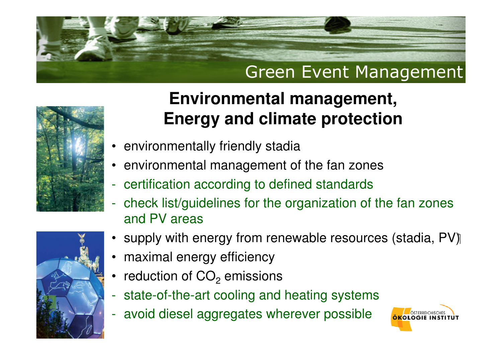



# **Environmental management,Energy and climate protection**

- environmentally friendly stadia
- •environmental management of the fan zones
- certification according to defined standards
- check list/guidelines for the organization of the fan zones and PV areas
- supply with energy from renewable resources (stadia, PV)
- maximal energy efficiency
- •reduction of  $CO<sub>2</sub>$  $_2$  emissions
- state-of-the-art cooling and heating systems
- avoid diesel aggregates wherever possible

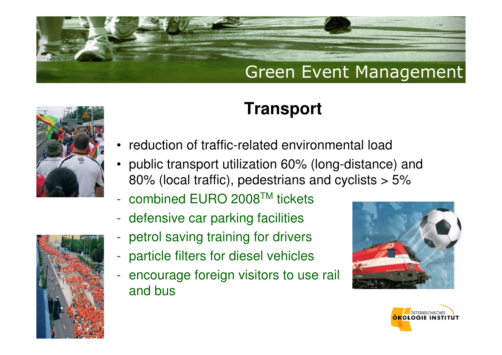

# **Transport**

- •reduction of traffic-related environmental load
- public transport utilization 60% (long-distance) and 80% (local traffic), pedestrians and cyclists > 5%
- combined EURO 2008TM tickets
- $\mathcal{L}^{\text{max}}_{\text{max}}$ defensive car parking facilities
- petrol saving training for drivers
- $\mathcal{L}^{\text{max}}_{\text{max}}$ particle filters for diesel vehicles
- encourage foreign visitors to use rail and bus





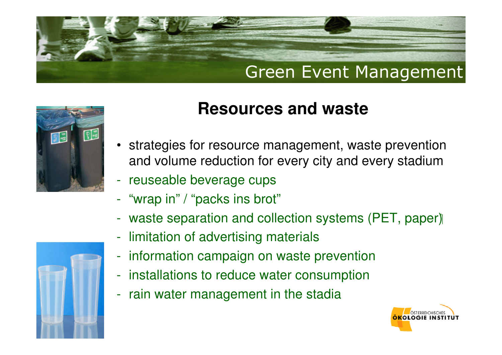



- strategies for resource management, waste prevention and volume reduction for every city and every stadium
- reuseable beverage cups
- "wrap in" / "packs ins brot"
- $\mathcal{L}^{\text{max}}_{\text{max}}$ waste separation and collection systems (PET, paper)
- limitation of advertising materials
- information campaign on waste prevention
- installations to reduce water consumption
- rain water management in the stadia